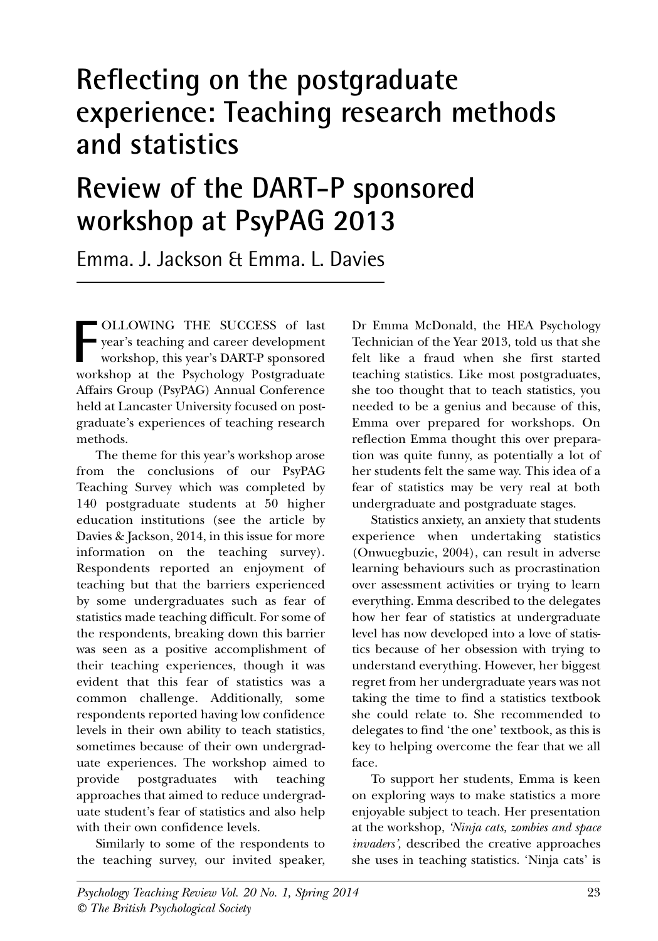## **Reflecting on the postgraduate experience: Teaching research methods and statistics**

# **Review of the DART-P sponsored workshop at PsyPAG 2013**

Emma. J. Jackson & Emma. L. Davies

OLLOWING THE SUCCESS of last year's teaching and career development workshop, this year's DART-P sponsored **FOLLOWING THE SUCCESS** of last year's teaching and career development workshop, this year's DART-P sponsored workshop at the Psychology Postgraduate Affairs Group (PsyPAG) Annual Conference held at Lancaster University focused on postgraduate's experiences of teaching research methods.

The theme for this year's workshop arose from the conclusions of our PsyPAG Teaching Survey which was completed by 140 postgraduate students at 50 higher education institutions (see the article by Davies & Jackson, 2014, in this issue for more information on the teaching survey). Respondents reported an enjoyment of teaching but that the barriers experienced by some undergraduates such as fear of statistics made teaching difficult. For some of the respondents, breaking down this barrier was seen as a positive accomplishment of their teaching experiences, though it was evident that this fear of statistics was a common challenge. Additionally, some respondents reported having low confidence levels in their own ability to teach statistics, sometimes because of their own undergraduate experiences. The workshop aimed to provide postgraduates with teaching approaches that aimed to reduce undergraduate student's fear of statistics and also help with their own confidence levels.

Similarly to some of the respondents to the teaching survey, our invited speaker,

Dr Emma McDonald, the HEA Psychology Technician of the Year 2013, told us that she felt like a fraud when she first started teaching statistics. Like most postgraduates, she too thought that to teach statistics, you needed to be a genius and because of this, Emma over prepared for workshops. On reflection Emma thought this over preparation was quite funny, as potentially a lot of her students felt the same way. This idea of a fear of statistics may be very real at both undergraduate and postgraduate stages.

Statistics anxiety, an anxiety that students experience when undertaking statistics (Onwuegbuzie, 2004), can result in adverse learning behaviours such as procrastination over assessment activities or trying to learn everything. Emma described to the delegates how her fear of statistics at undergraduate level has now developed into a love of statistics because of her obsession with trying to understand everything. However, her biggest regret from her undergraduate years was not taking the time to find a statistics textbook she could relate to. She recommended to delegates to find 'the one' textbook, as this is key to helping overcome the fear that we all face.

To support her students, Emma is keen on exploring ways to make statistics a more enjoyable subject to teach. Her presentation at the workshop, *'Ninja cats, zombies and space invaders',* described the creative approaches she uses in teaching statistics. 'Ninja cats' is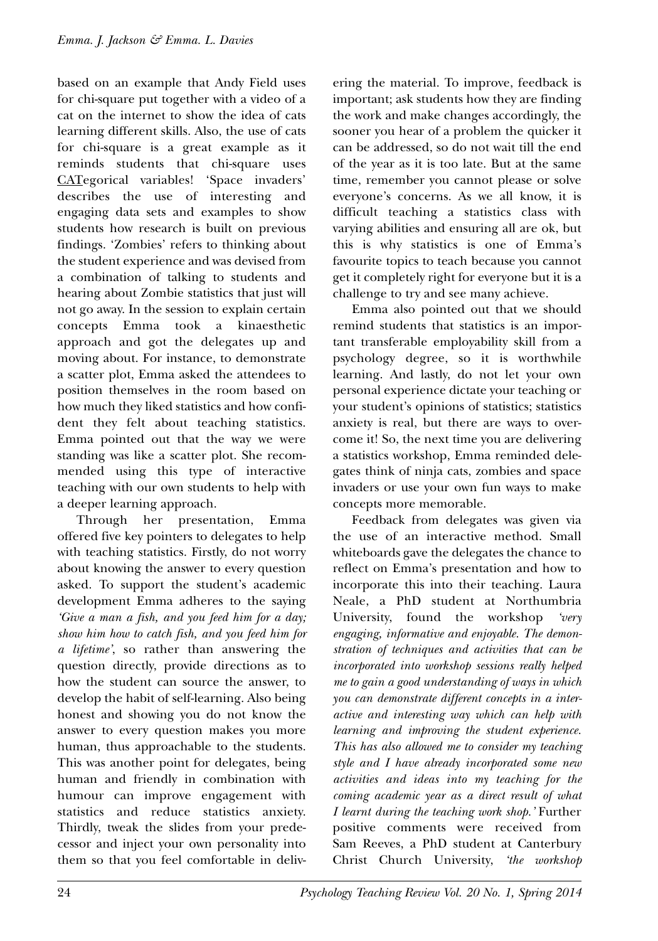based on an example that Andy Field uses for chi-square put together with a video of a cat on the internet to show the idea of cats learning different skills. Also, the use of cats for chi-square is a great example as it reminds students that chi-square uses CATegorical variables! 'Space invaders' describes the use of interesting and engaging data sets and examples to show students how research is built on previous findings. 'Zombies' refers to thinking about the student experience and was devised from a combination of talking to students and hearing about Zombie statistics that just will not go away. In the session to explain certain concepts Emma took a kinaesthetic approach and got the delegates up and moving about. For instance, to demonstrate a scatter plot, Emma asked the attendees to position themselves in the room based on how much they liked statistics and how confident they felt about teaching statistics. Emma pointed out that the way we were standing was like a scatter plot. She recommended using this type of interactive teaching with our own students to help with a deeper learning approach.

Through her presentation, Emma offered five key pointers to delegates to help with teaching statistics. Firstly, do not worry about knowing the answer to every question asked. To support the student's academic development Emma adheres to the saying *'Give a man a fish, and you feed him for a day; show him how to catch fish, and you feed him for a lifetime'*, so rather than answering the question directly, provide directions as to how the student can source the answer, to develop the habit of self-learning. Also being honest and showing you do not know the answer to every question makes you more human, thus approachable to the students. This was another point for delegates, being human and friendly in combination with humour can improve engagement with statistics and reduce statistics anxiety. Thirdly, tweak the slides from your predecessor and inject your own personality into them so that you feel comfortable in delivering the material. To improve, feedback is important; ask students how they are finding the work and make changes accordingly, the sooner you hear of a problem the quicker it can be addressed, so do not wait till the end of the year as it is too late. But at the same time, remember you cannot please or solve everyone's concerns. As we all know, it is difficult teaching a statistics class with varying abilities and ensuring all are ok, but this is why statistics is one of Emma's favourite topics to teach because you cannot get it completely right for everyone but it is a challenge to try and see many achieve.

Emma also pointed out that we should remind students that statistics is an important transferable employability skill from a psychology degree, so it is worthwhile learning. And lastly, do not let your own personal experience dictate your teaching or your student's opinions of statistics; statistics anxiety is real, but there are ways to overcome it! So, the next time you are delivering a statistics workshop, Emma reminded delegates think of ninja cats, zombies and space invaders or use your own fun ways to make concepts more memorable.

Feedback from delegates was given via the use of an interactive method. Small whiteboards gave the delegates the chance to reflect on Emma's presentation and how to incorporate this into their teaching. Laura Neale, a PhD student at Northumbria University, found the workshop *'very engaging, informative and enjoyable. The demonstration of techniques and activities that can be incorporated into workshop sessions really helped me to gain a good understanding of ways in which you can demonstrate different concepts in a interactive and interesting way which can help with learning and improving the student experience. This has also allowed me to consider my teaching style and I have already incorporated some new activities and ideas into my teaching for the coming academic year as a direct result of what I learnt during the teaching work shop.'* Further positive comments were received from Sam Reeves, a PhD student at Canterbury Christ Church University, *'the workshop*